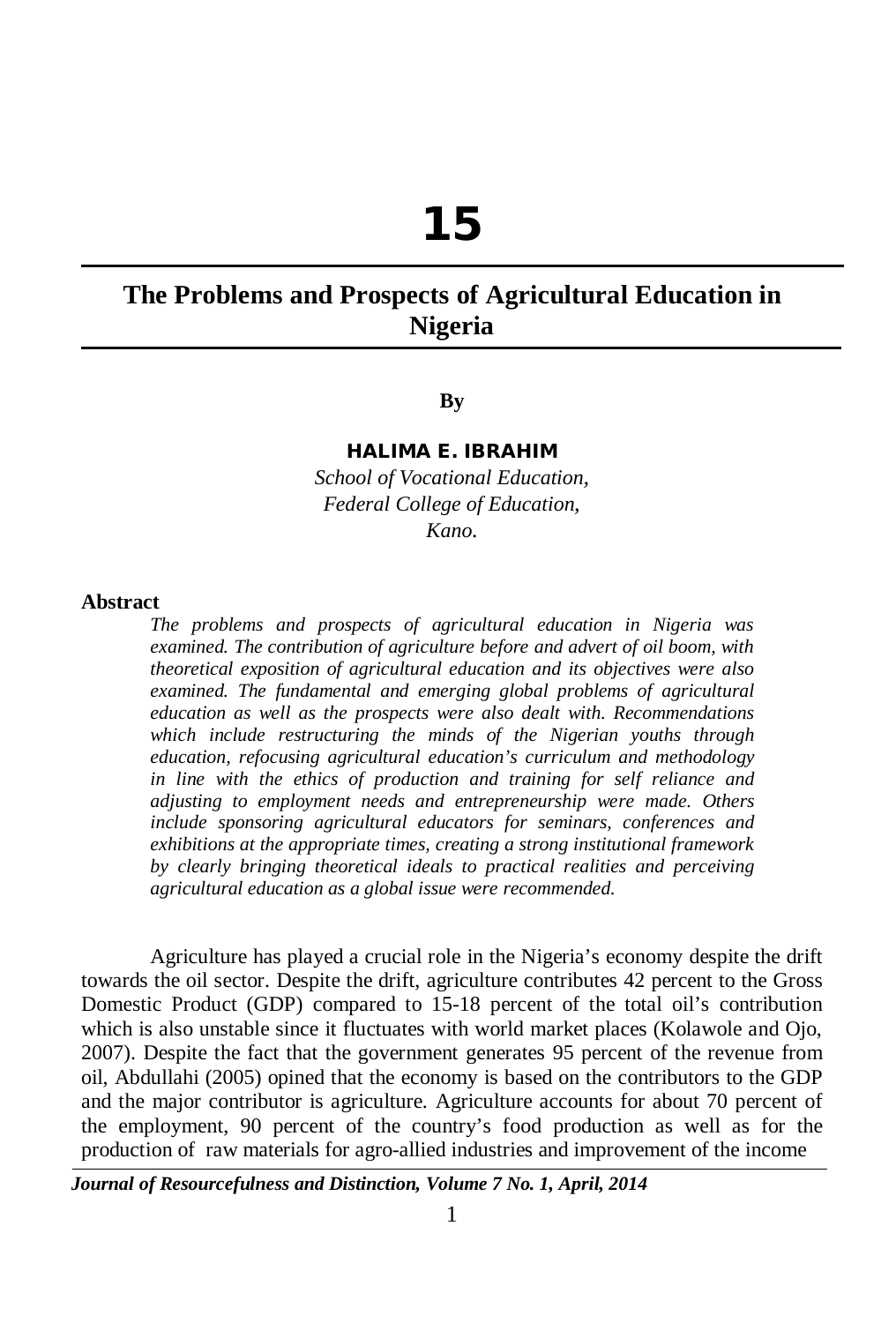# **15**

# **The Problems and Prospects of Agricultural Education in Nigeria**

#### **By**

#### **HALIMA E. IBRAHIM**

*School of Vocational Education, Federal College of Education, Kano.*

#### **Abstract**

*The problems and prospects of agricultural education in Nigeria was examined. The contribution of agriculture before and advert of oil boom, with theoretical exposition of agricultural education and its objectives were also examined. The fundamental and emerging global problems of agricultural education as well as the prospects were also dealt with. Recommendations which include restructuring the minds of the Nigerian youths through education, refocusing agricultural education's curriculum and methodology in line with the ethics of production and training for self reliance and adjusting to employment needs and entrepreneurship were made. Others include sponsoring agricultural educators for seminars, conferences and exhibitions at the appropriate times, creating a strong institutional framework by clearly bringing theoretical ideals to practical realities and perceiving agricultural education as a global issue were recommended*.

Agriculture has played a crucial role in the Nigeria's economy despite the drift towards the oil sector. Despite the drift, agriculture contributes 42 percent to the Gross Domestic Product (GDP) compared to 15-18 percent of the total oil's contribution which is also unstable since it fluctuates with world market places (Kolawole and Ojo, 2007). Despite the fact that the government generates 95 percent of the revenue from oil, Abdullahi (2005) opined that the economy is based on the contributors to the GDP and the major contributor is agriculture. Agriculture accounts for about 70 percent of the employment, 90 percent of the country's food production as well as for the production of raw materials for agro-allied industries and improvement of the income

*Journal of Resourcefulness and Distinction, Volume 7 No. 1, April, 2014*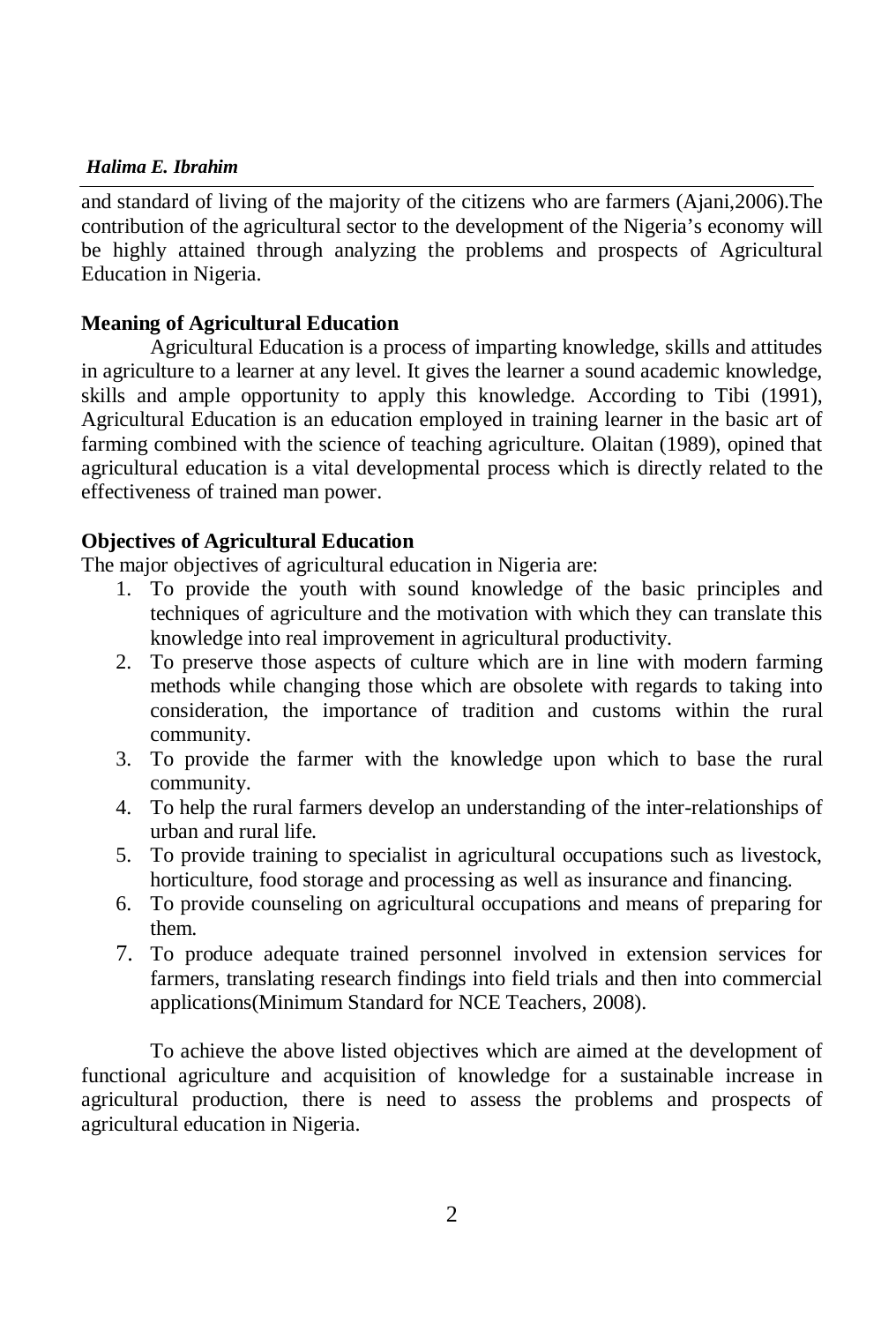# *Halima E. Ibrahim*

and standard of living of the majority of the citizens who are farmers (Ajani,2006).The contribution of the agricultural sector to the development of the Nigeria's economy will be highly attained through analyzing the problems and prospects of Agricultural Education in Nigeria.

# **Meaning of Agricultural Education**

Agricultural Education is a process of imparting knowledge, skills and attitudes in agriculture to a learner at any level. It gives the learner a sound academic knowledge, skills and ample opportunity to apply this knowledge. According to Tibi (1991), Agricultural Education is an education employed in training learner in the basic art of farming combined with the science of teaching agriculture. Olaitan (1989), opined that agricultural education is a vital developmental process which is directly related to the effectiveness of trained man power.

#### **Objectives of Agricultural Education**

The major objectives of agricultural education in Nigeria are:

- 1. To provide the youth with sound knowledge of the basic principles and techniques of agriculture and the motivation with which they can translate this knowledge into real improvement in agricultural productivity.
- 2. To preserve those aspects of culture which are in line with modern farming methods while changing those which are obsolete with regards to taking into consideration, the importance of tradition and customs within the rural community.
- 3. To provide the farmer with the knowledge upon which to base the rural community.
- 4. To help the rural farmers develop an understanding of the inter-relationships of urban and rural life.
- 5. To provide training to specialist in agricultural occupations such as livestock, horticulture, food storage and processing as well as insurance and financing.
- 6. To provide counseling on agricultural occupations and means of preparing for them.
- 7. To produce adequate trained personnel involved in extension services for farmers, translating research findings into field trials and then into commercial applications(Minimum Standard for NCE Teachers, 2008).

To achieve the above listed objectives which are aimed at the development of functional agriculture and acquisition of knowledge for a sustainable increase in agricultural production, there is need to assess the problems and prospects of agricultural education in Nigeria.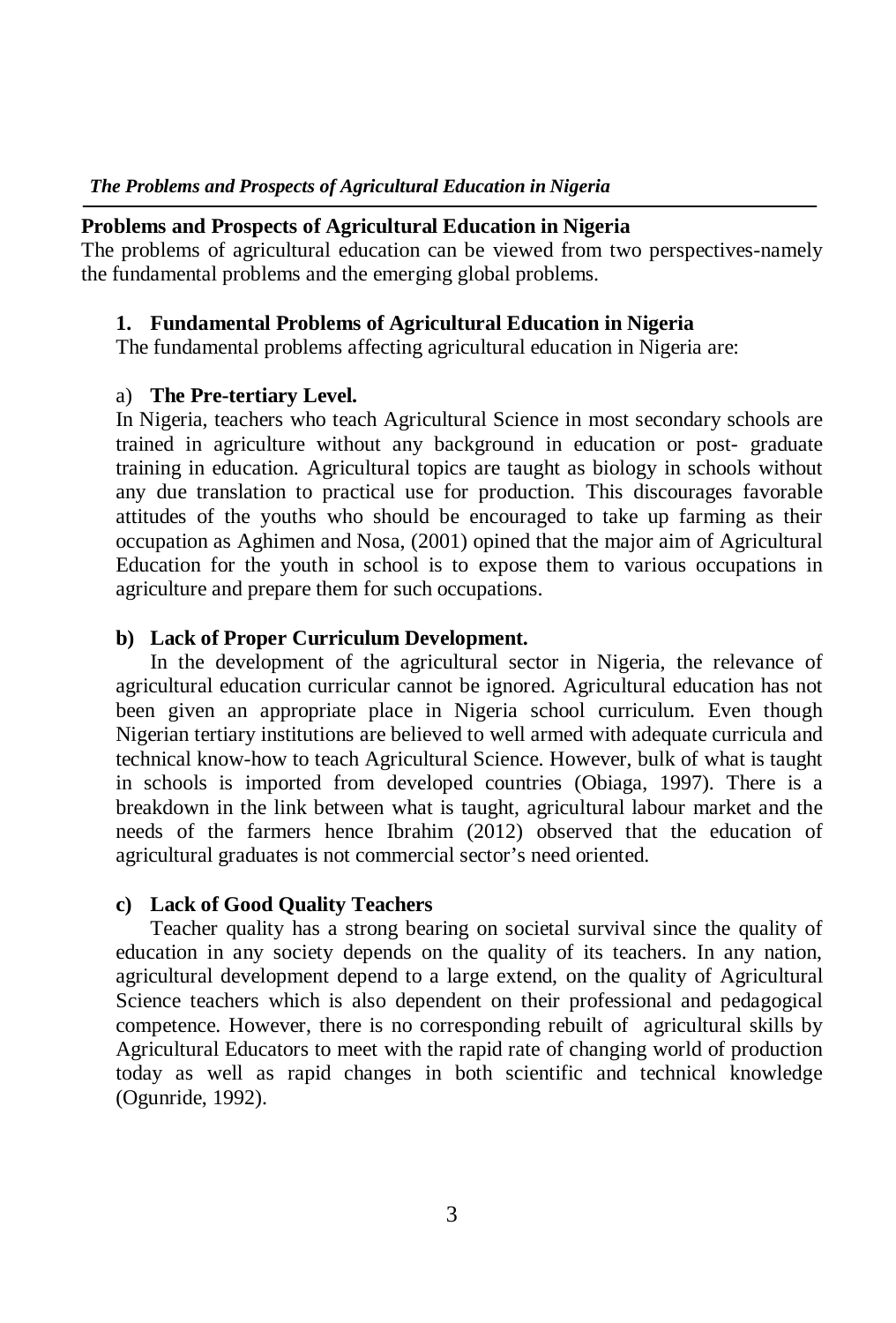#### **Problems and Prospects of Agricultural Education in Nigeria**

The problems of agricultural education can be viewed from two perspectives-namely the fundamental problems and the emerging global problems.

# **1. Fundamental Problems of Agricultural Education in Nigeria**

The fundamental problems affecting agricultural education in Nigeria are:

# a) **The Pre-tertiary Level.**

In Nigeria, teachers who teach Agricultural Science in most secondary schools are trained in agriculture without any background in education or post- graduate training in education. Agricultural topics are taught as biology in schools without any due translation to practical use for production. This discourages favorable attitudes of the youths who should be encouraged to take up farming as their occupation as Aghimen and Nosa, (2001) opined that the major aim of Agricultural Education for the youth in school is to expose them to various occupations in agriculture and prepare them for such occupations.

# **b) Lack of Proper Curriculum Development.**

In the development of the agricultural sector in Nigeria, the relevance of agricultural education curricular cannot be ignored. Agricultural education has not been given an appropriate place in Nigeria school curriculum. Even though Nigerian tertiary institutions are believed to well armed with adequate curricula and technical know-how to teach Agricultural Science. However, bulk of what is taught in schools is imported from developed countries (Obiaga, 1997). There is a breakdown in the link between what is taught, agricultural labour market and the needs of the farmers hence Ibrahim (2012) observed that the education of agricultural graduates is not commercial sector's need oriented.

#### **c) Lack of Good Quality Teachers**

Teacher quality has a strong bearing on societal survival since the quality of education in any society depends on the quality of its teachers. In any nation, agricultural development depend to a large extend, on the quality of Agricultural Science teachers which is also dependent on their professional and pedagogical competence. However, there is no corresponding rebuilt of agricultural skills by Agricultural Educators to meet with the rapid rate of changing world of production today as well as rapid changes in both scientific and technical knowledge (Ogunride, 1992).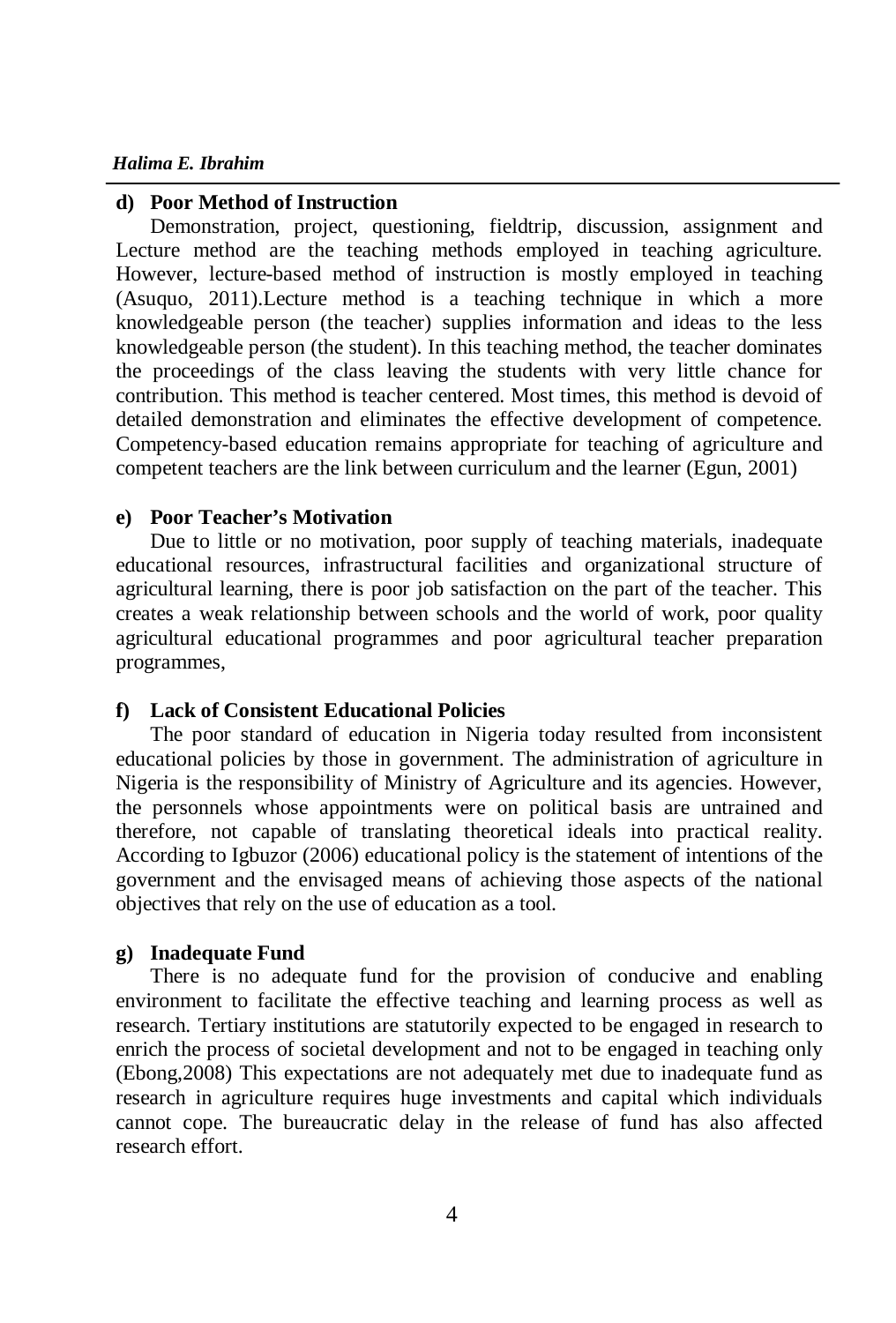#### *Halima E. Ibrahim*

#### **d) Poor Method of Instruction**

Demonstration, project, questioning, fieldtrip, discussion, assignment and Lecture method are the teaching methods employed in teaching agriculture. However, lecture-based method of instruction is mostly employed in teaching (Asuquo, 2011).Lecture method is a teaching technique in which a more knowledgeable person (the teacher) supplies information and ideas to the less knowledgeable person (the student). In this teaching method, the teacher dominates the proceedings of the class leaving the students with very little chance for contribution. This method is teacher centered. Most times, this method is devoid of detailed demonstration and eliminates the effective development of competence. Competency-based education remains appropriate for teaching of agriculture and competent teachers are the link between curriculum and the learner (Egun, 2001)

#### **e) Poor Teacher's Motivation**

Due to little or no motivation, poor supply of teaching materials, inadequate educational resources, infrastructural facilities and organizational structure of agricultural learning, there is poor job satisfaction on the part of the teacher. This creates a weak relationship between schools and the world of work, poor quality agricultural educational programmes and poor agricultural teacher preparation programmes,

#### **f) Lack of Consistent Educational Policies**

The poor standard of education in Nigeria today resulted from inconsistent educational policies by those in government. The administration of agriculture in Nigeria is the responsibility of Ministry of Agriculture and its agencies. However, the personnels whose appointments were on political basis are untrained and therefore, not capable of translating theoretical ideals into practical reality. According to Igbuzor (2006) educational policy is the statement of intentions of the government and the envisaged means of achieving those aspects of the national objectives that rely on the use of education as a tool.

#### **g) Inadequate Fund**

There is no adequate fund for the provision of conducive and enabling environment to facilitate the effective teaching and learning process as well as research. Tertiary institutions are statutorily expected to be engaged in research to enrich the process of societal development and not to be engaged in teaching only (Ebong,2008) This expectations are not adequately met due to inadequate fund as research in agriculture requires huge investments and capital which individuals cannot cope. The bureaucratic delay in the release of fund has also affected research effort.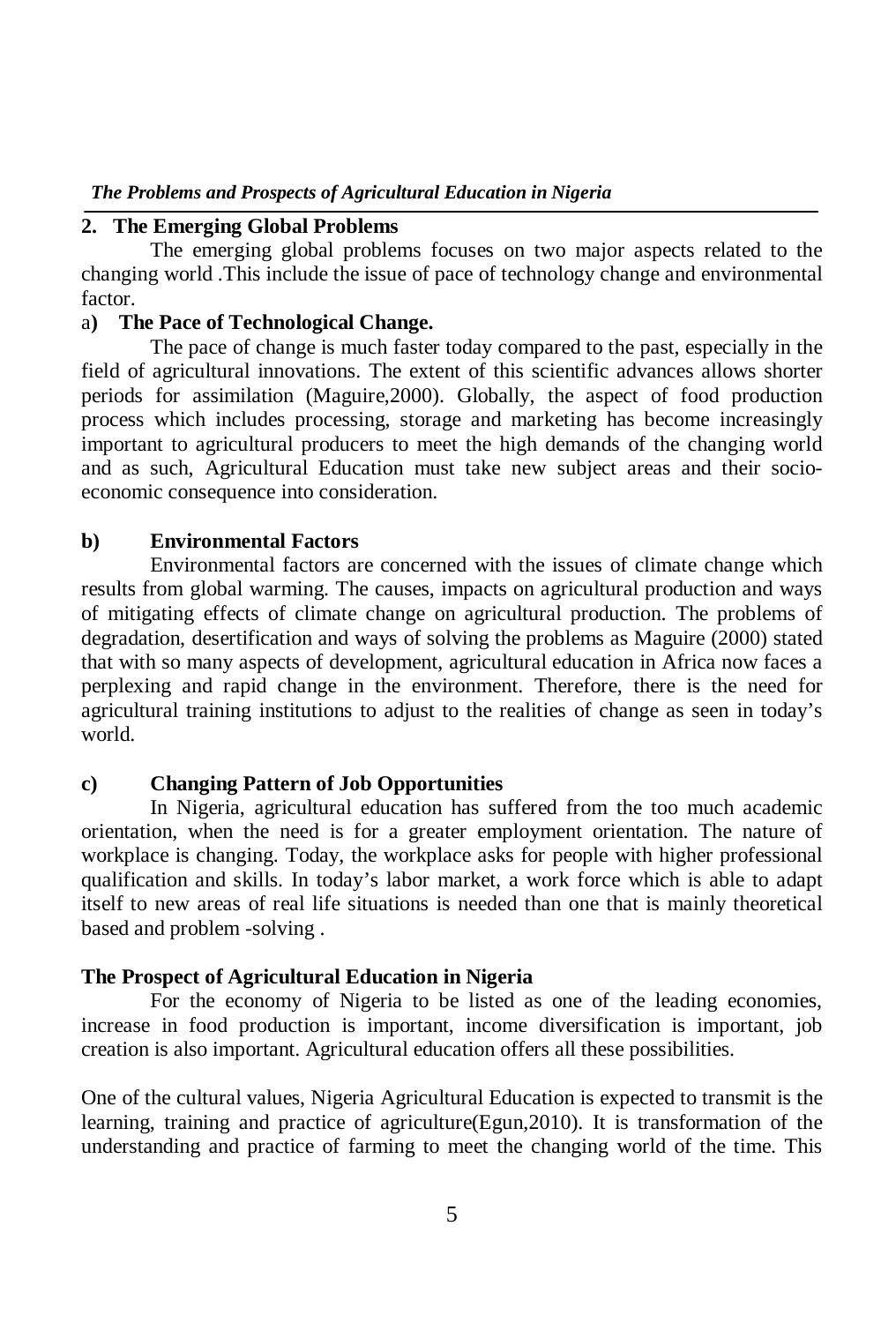# **2. The Emerging Global Problems**

The emerging global problems focuses on two major aspects related to the changing world .This include the issue of pace of technology change and environmental factor.

# a**) The Pace of Technological Change.**

The pace of change is much faster today compared to the past, especially in the field of agricultural innovations. The extent of this scientific advances allows shorter periods for assimilation (Maguire,2000). Globally, the aspect of food production process which includes processing, storage and marketing has become increasingly important to agricultural producers to meet the high demands of the changing world and as such, Agricultural Education must take new subject areas and their socioeconomic consequence into consideration.

# **b) Environmental Factors**

Environmental factors are concerned with the issues of climate change which results from global warming. The causes, impacts on agricultural production and ways of mitigating effects of climate change on agricultural production. The problems of degradation, desertification and ways of solving the problems as Maguire (2000) stated that with so many aspects of development, agricultural education in Africa now faces a perplexing and rapid change in the environment. Therefore, there is the need for agricultural training institutions to adjust to the realities of change as seen in today's world.

# **c) Changing Pattern of Job Opportunities**

In Nigeria, agricultural education has suffered from the too much academic orientation, when the need is for a greater employment orientation. The nature of workplace is changing. Today, the workplace asks for people with higher professional qualification and skills. In today's labor market, a work force which is able to adapt itself to new areas of real life situations is needed than one that is mainly theoretical based and problem -solving .

# **The Prospect of Agricultural Education in Nigeria**

For the economy of Nigeria to be listed as one of the leading economies, increase in food production is important, income diversification is important, job creation is also important. Agricultural education offers all these possibilities.

One of the cultural values, Nigeria Agricultural Education is expected to transmit is the learning, training and practice of agriculture(Egun,2010). It is transformation of the understanding and practice of farming to meet the changing world of the time. This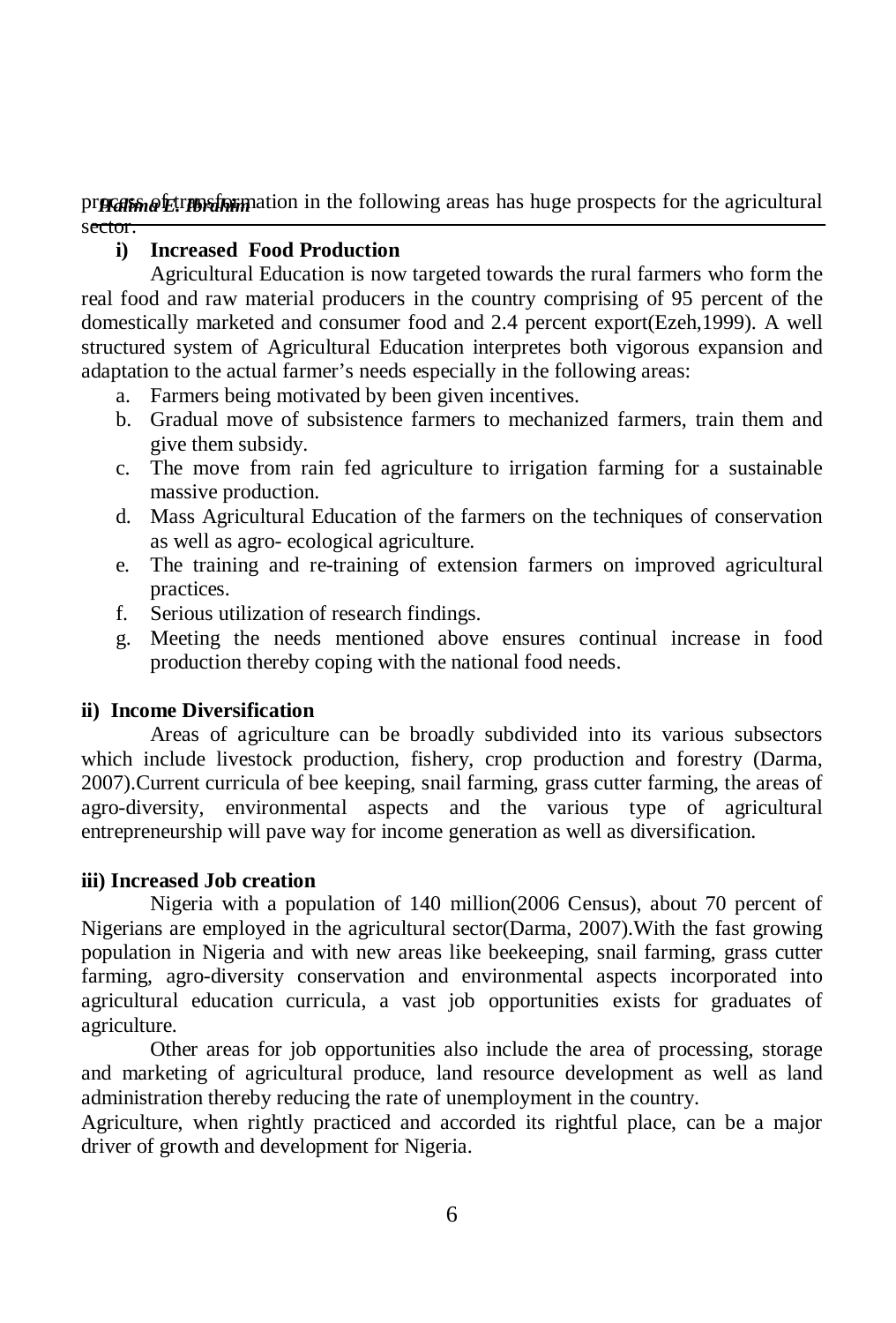pr**ocess** of the agricultural product in the following areas has huge prospects for the agricultural sector.

# **i) Increased Food Production**

Agricultural Education is now targeted towards the rural farmers who form the real food and raw material producers in the country comprising of 95 percent of the domestically marketed and consumer food and 2.4 percent export(Ezeh,1999). A well structured system of Agricultural Education interpretes both vigorous expansion and adaptation to the actual farmer's needs especially in the following areas:

- a. Farmers being motivated by been given incentives.
- b. Gradual move of subsistence farmers to mechanized farmers, train them and give them subsidy.
- c. The move from rain fed agriculture to irrigation farming for a sustainable massive production.
- d. Mass Agricultural Education of the farmers on the techniques of conservation as well as agro- ecological agriculture.
- e. The training and re-training of extension farmers on improved agricultural practices.
- f. Serious utilization of research findings.
- g. Meeting the needs mentioned above ensures continual increase in food production thereby coping with the national food needs.

# **ii) Income Diversification**

Areas of agriculture can be broadly subdivided into its various subsectors which include livestock production, fishery, crop production and forestry (Darma, 2007).Current curricula of bee keeping, snail farming, grass cutter farming, the areas of agro-diversity, environmental aspects and the various type of agricultural entrepreneurship will pave way for income generation as well as diversification.

# **iii) Increased Job creation**

Nigeria with a population of 140 million(2006 Census), about 70 percent of Nigerians are employed in the agricultural sector(Darma, 2007).With the fast growing population in Nigeria and with new areas like beekeeping, snail farming, grass cutter farming, agro-diversity conservation and environmental aspects incorporated into agricultural education curricula, a vast job opportunities exists for graduates of agriculture.

Other areas for job opportunities also include the area of processing, storage and marketing of agricultural produce, land resource development as well as land administration thereby reducing the rate of unemployment in the country.

Agriculture, when rightly practiced and accorded its rightful place, can be a major driver of growth and development for Nigeria.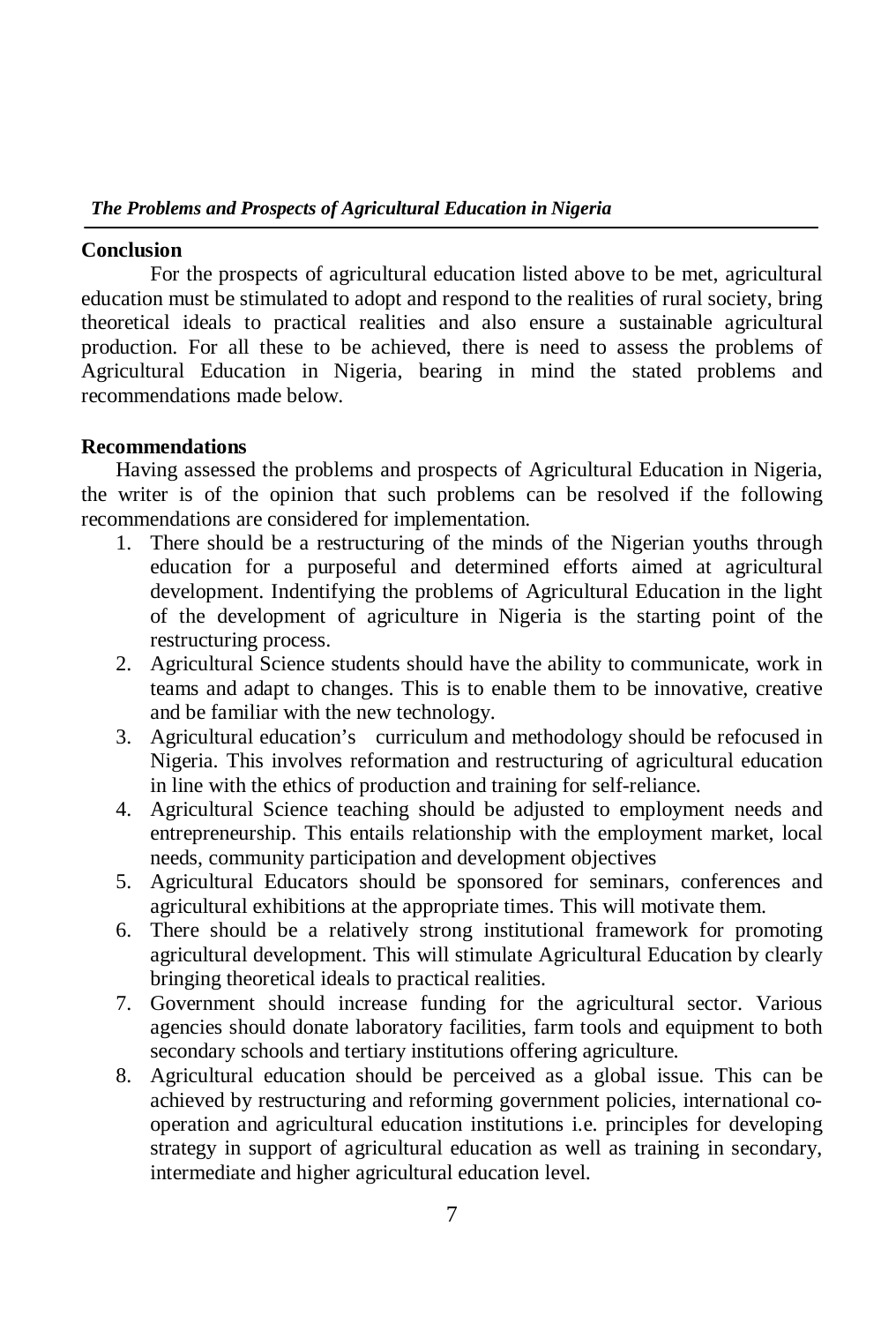# **Conclusion**

For the prospects of agricultural education listed above to be met, agricultural education must be stimulated to adopt and respond to the realities of rural society, bring theoretical ideals to practical realities and also ensure a sustainable agricultural production. For all these to be achieved, there is need to assess the problems of Agricultural Education in Nigeria, bearing in mind the stated problems and recommendations made below.

# **Recommendations**

Having assessed the problems and prospects of Agricultural Education in Nigeria, the writer is of the opinion that such problems can be resolved if the following recommendations are considered for implementation.

- 1. There should be a restructuring of the minds of the Nigerian youths through education for a purposeful and determined efforts aimed at agricultural development. Indentifying the problems of Agricultural Education in the light of the development of agriculture in Nigeria is the starting point of the restructuring process.
- 2. Agricultural Science students should have the ability to communicate, work in teams and adapt to changes. This is to enable them to be innovative, creative and be familiar with the new technology.
- 3. Agricultural education's curriculum and methodology should be refocused in Nigeria. This involves reformation and restructuring of agricultural education in line with the ethics of production and training for self-reliance.
- 4. Agricultural Science teaching should be adjusted to employment needs and entrepreneurship. This entails relationship with the employment market, local needs, community participation and development objectives
- 5. Agricultural Educators should be sponsored for seminars, conferences and agricultural exhibitions at the appropriate times. This will motivate them.
- 6. There should be a relatively strong institutional framework for promoting agricultural development. This will stimulate Agricultural Education by clearly bringing theoretical ideals to practical realities.
- 7. Government should increase funding for the agricultural sector. Various agencies should donate laboratory facilities, farm tools and equipment to both secondary schools and tertiary institutions offering agriculture.
- 8. Agricultural education should be perceived as a global issue. This can be achieved by restructuring and reforming government policies, international cooperation and agricultural education institutions i.e. principles for developing strategy in support of agricultural education as well as training in secondary, intermediate and higher agricultural education level.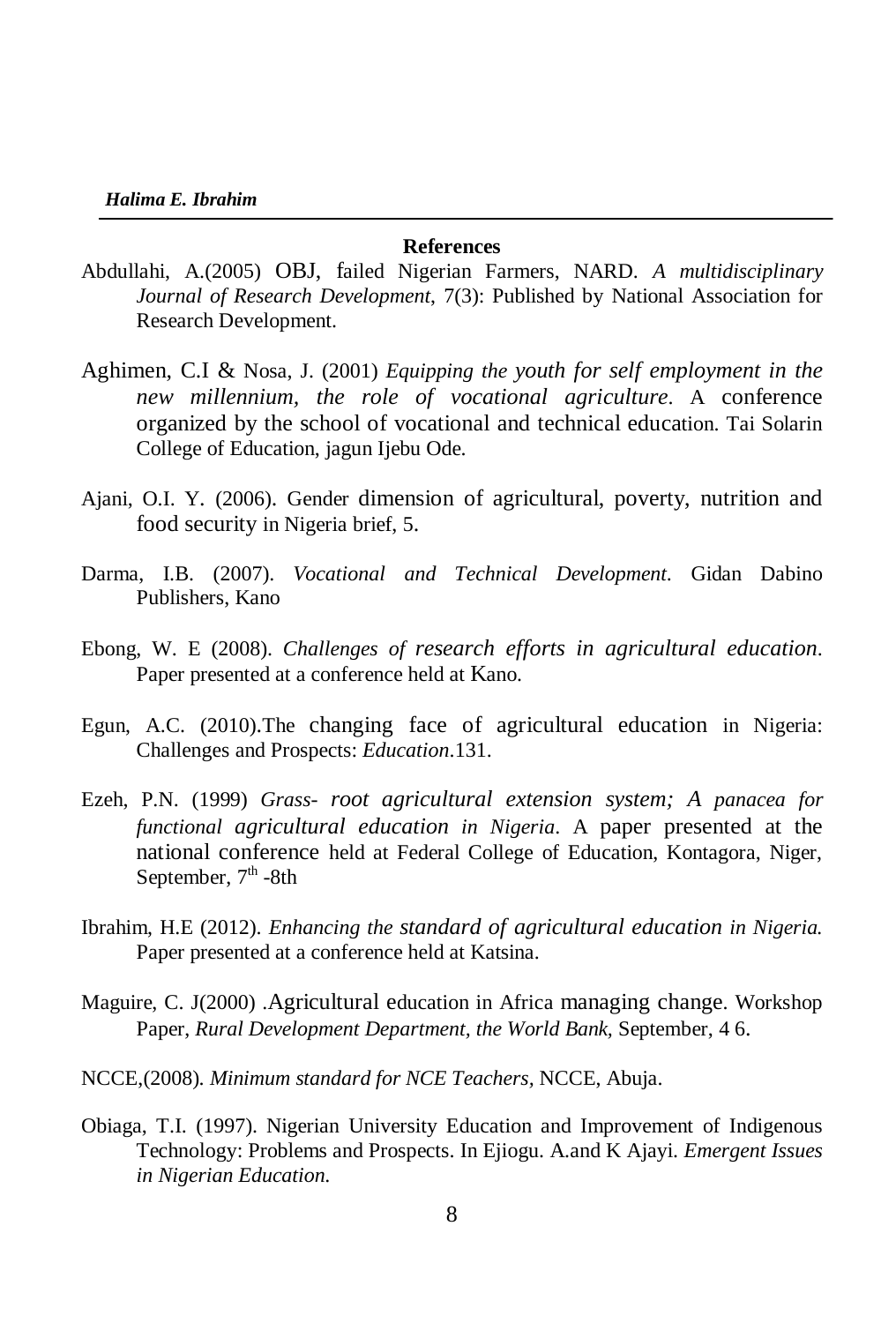### **References**

- Abdullahi, A.(2005) OBJ, failed Nigerian Farmers, NARD. *A multidisciplinary Journal of Research Development*, 7(3): Published by National Association for Research Development.
- Aghimen, C.I & Nosa, J. (2001) *Equipping the youth for self employment in the new millennium, the role of vocational agriculture*. A conference organized by the school of vocational and technical education. Tai Solarin College of Education, jagun Ijebu Ode.
- Ajani, O.I. Y. (2006). Gender dimension of agricultural, poverty, nutrition and food security in Nigeria brief, 5.
- Darma, I.B. (2007). *Vocational and Technical Development*. Gidan Dabino Publishers, Kano
- Ebong, W. E (2008). *Challenges of research efforts in agricultural education*. Paper presented at a conference held at Kano.
- Egun, A.C. (2010).The changing face of agricultural education in Nigeria: Challenges and Prospects: *Education*.131.
- Ezeh, P.N. (1999) *Grass- root agricultural extension system; A panacea for functional agricultural education in Nigeria*. A paper presented at the national conference held at Federal College of Education, Kontagora, Niger, September, 7<sup>th</sup> -8th
- Ibrahim, H.E (2012). *Enhancing the standard of agricultural education in Nigeria.* Paper presented at a conference held at Katsina.
- Maguire, C. J(2000) .Agricultural education in Africa managing change. Workshop Paper, *Rural Development Department, the World Bank,* September, 4 6.
- NCCE,(2008). *Minimum standard for NCE Teachers,* NCCE, Abuja.
- Obiaga, T.I. (1997). Nigerian University Education and Improvement of Indigenous Technology: Problems and Prospects. In Ejiogu. A.and K Ajayi. *Emergent Issues in Nigerian Education*.